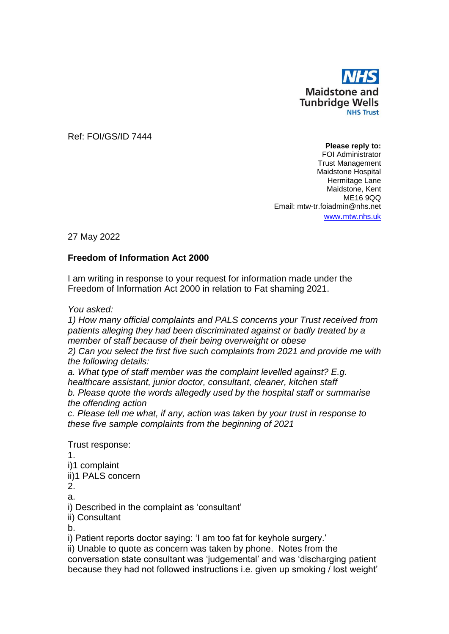

Ref: FOI/GS/ID 7444

**Please reply to:** FOI Administrator Trust Management Maidstone Hospital Hermitage Lane Maidstone, Kent ME16 9QQ Email: mtw-tr.foiadmin@nhs.net www.[mtw.nhs.uk](http://www.mtw.nhs.uk/)

27 May 2022

## **Freedom of Information Act 2000**

I am writing in response to your request for information made under the Freedom of Information Act 2000 in relation to Fat shaming 2021.

*You asked:*

*1) How many official complaints and PALS concerns your Trust received from patients alleging they had been discriminated against or badly treated by a member of staff because of their being overweight or obese 2) Can you select the first five such complaints from 2021 and provide me with the following details:*

*a. What type of staff member was the complaint levelled against? E.g. healthcare assistant, junior doctor, consultant, cleaner, kitchen staff b. Please quote the words allegedly used by the hospital staff or summarise the offending action*

*c. Please tell me what, if any, action was taken by your trust in response to these five sample complaints from the beginning of 2021*

Trust response:

1. i)1 complaint ii)1 PALS concern

2.

a.

i) Described in the complaint as 'consultant'

ii) Consultant

b.

i) Patient reports doctor saying: 'I am too fat for keyhole surgery.'

ii) Unable to quote as concern was taken by phone. Notes from the conversation state consultant was 'judgemental' and was 'discharging patient because they had not followed instructions i.e. given up smoking / lost weight'